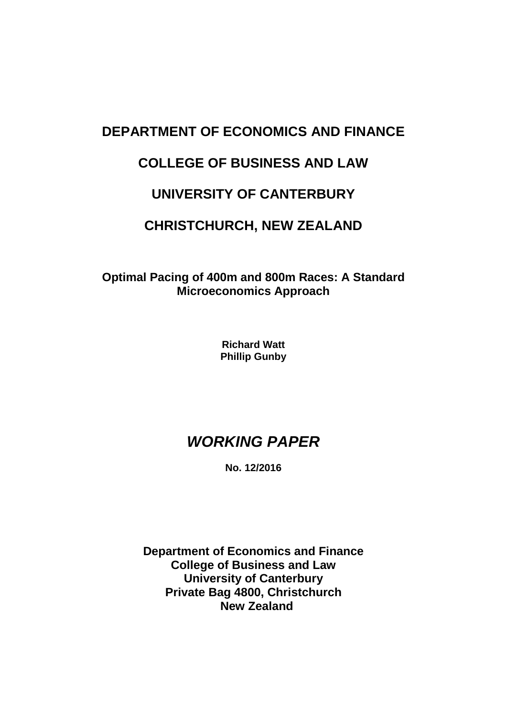# **DEPARTMENT OF ECONOMICS AND FINANCE**

# **COLLEGE OF BUSINESS AND LAW**

# **UNIVERSITY OF CANTERBURY**

# **CHRISTCHURCH, NEW ZEALAND**

**Optimal Pacing of 400m and 800m Races: A Standard Microeconomics Approach**

> **Richard Watt Phillip Gunby**

# *WORKING PAPER*

**No. 12/2016**

**Department of Economics and Finance College of Business and Law University of Canterbury Private Bag 4800, Christchurch New Zealand**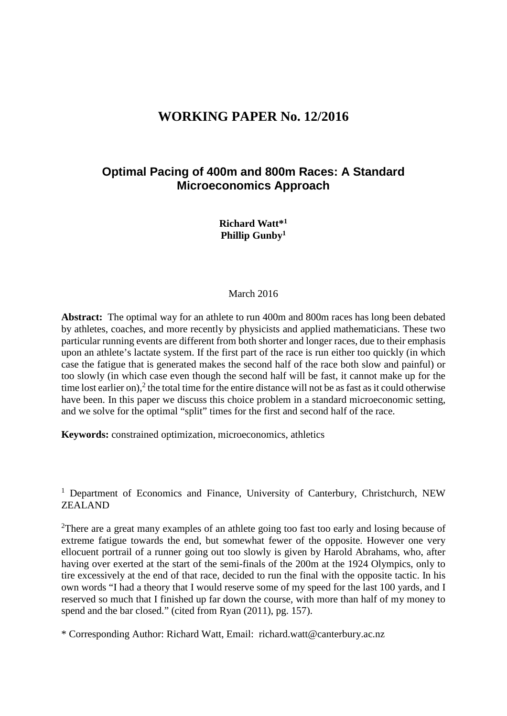## **WORKING PAPER No. 12/2016**

#### **Optimal Pacing of 400m and 800m Races: A Standard Microeconomics Approach**

**Richard Watt\*1 Phillip Gunby1**

#### March 2016

**Abstract:** The optimal way for an athlete to run 400m and 800m races has long been debated by athletes, coaches, and more recently by physicists and applied mathematicians. These two particular running events are different from both shorter and longer races, due to their emphasis upon an athlete's lactate system. If the first part of the race is run either too quickly (in which case the fatigue that is generated makes the second half of the race both slow and painful) or too slowly (in which case even though the second half will be fast, it cannot make up for the time lost earlier on),<sup>2</sup> the total time for the entire distance will not be as fast as it could otherwise have been. In this paper we discuss this choice problem in a standard microeconomic setting, and we solve for the optimal "split" times for the first and second half of the race.

**Keywords:** constrained optimization, microeconomics, athletics

<sup>1</sup> Department of Economics and Finance, University of Canterbury, Christchurch, NEW ZEALAND

<sup>2</sup>There are a great many examples of an athlete going too fast too early and losing because of extreme fatigue towards the end, but somewhat fewer of the opposite. However one very ellocuent portrail of a runner going out too slowly is given by Harold Abrahams, who, after having over exerted at the start of the semi-finals of the 200m at the 1924 Olympics, only to tire excessively at the end of that race, decided to run the final with the opposite tactic. In his own words "I had a theory that I would reserve some of my speed for the last 100 yards, and I reserved so much that I finished up far down the course, with more than half of my money to spend and the bar closed." (cited from Ryan (2011), pg. 157).

\* Corresponding Author: Richard Watt, Email: richard.watt@canterbury.ac.nz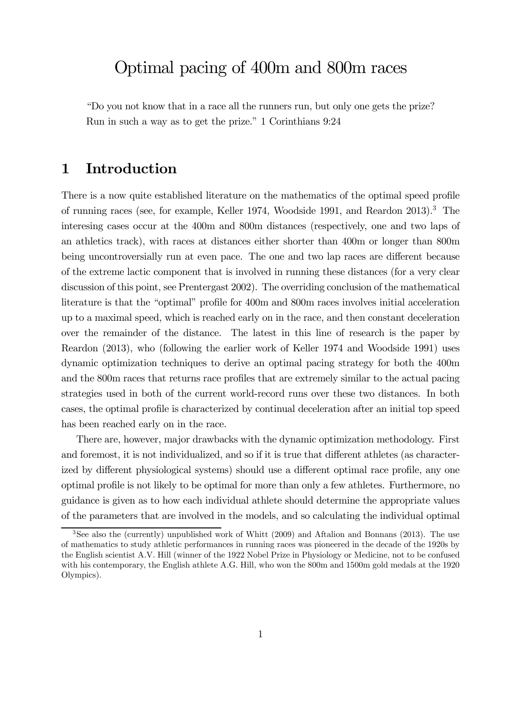# Optimal pacing of 400m and 800m races

"Do you not know that in a race all the runners run, but only one gets the prize? Run in such a way as to get the prize." 1 Corinthians 9:24

# 1 Introduction

There is a now quite established literature on the mathematics of the optimal speed profile of running races (see, for example, Keller 1974, Woodside 1991, and Reardon 2013).3 The interesing cases occur at the 400m and 800m distances (respectively, one and two laps of an athletics track), with races at distances either shorter than 400m or longer than 800m being uncontroversially run at even pace. The one and two lap races are different because of the extreme lactic component that is involved in running these distances (for a very clear discussion of this point, see Prentergast 2002). The overriding conclusion of the mathematical literature is that the "optimal" profile for 400m and 800m races involves initial acceleration up to a maximal speed, which is reached early on in the race, and then constant deceleration over the remainder of the distance. The latest in this line of research is the paper by Reardon (2013), who (following the earlier work of Keller 1974 and Woodside 1991) uses dynamic optimization techniques to derive an optimal pacing strategy for both the 400m and the 800m races that returns race profiles that are extremely similar to the actual pacing strategies used in both of the current world-record runs over these two distances. In both cases, the optimal profile is characterized by continual deceleration after an initial top speed has been reached early on in the race.

There are, however, major drawbacks with the dynamic optimization methodology. First and foremost, it is not individualized, and so if it is true that different athletes (as characterized by different physiological systems) should use a different optimal race profile, any one optimal profile is not likely to be optimal for more than only a few athletes. Furthermore, no guidance is given as to how each individual athlete should determine the appropriate values of the parameters that are involved in the models, and so calculating the individual optimal

<sup>3</sup>See also the (currently) unpublished work of Whitt (2009) and Aftalion and Bonnans (2013). The use of mathematics to study athletic performances in running races was pioneered in the decade of the 1920s by the English scientist A.V. Hill (winner of the 1922 Nobel Prize in Physiology or Medicine, not to be confused with his contemporary, the English athlete A.G. Hill, who won the 800m and 1500m gold medals at the 1920 Olympics).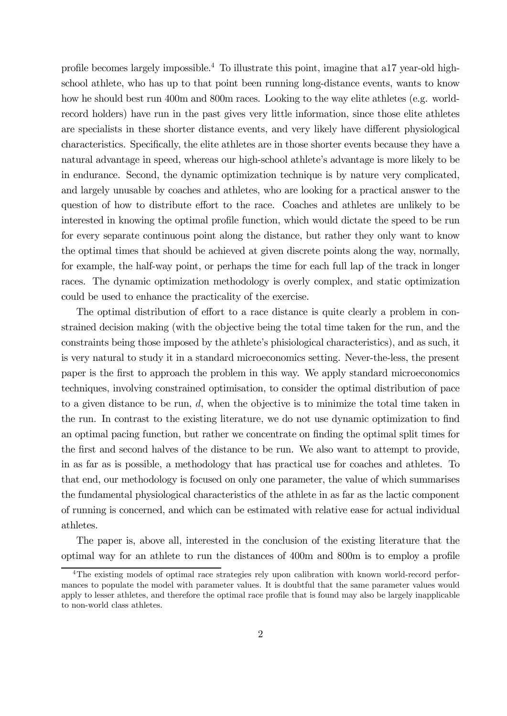profile becomes largely impossible.<sup>4</sup> To illustrate this point, imagine that a17 year-old highschool athlete, who has up to that point been running long-distance events, wants to know how he should best run 400m and 800m races. Looking to the way elite athletes (e.g. worldrecord holders) have run in the past gives very little information, since those elite athletes are specialists in these shorter distance events, and very likely have different physiological characteristics. Specifically, the elite athletes are in those shorter events because they have a natural advantage in speed, whereas our high-school athlete's advantage is more likely to be in endurance. Second, the dynamic optimization technique is by nature very complicated, and largely unusable by coaches and athletes, who are looking for a practical answer to the question of how to distribute effort to the race. Coaches and athletes are unlikely to be interested in knowing the optimal profile function, which would dictate the speed to be run for every separate continuous point along the distance, but rather they only want to know the optimal times that should be achieved at given discrete points along the way, normally, for example, the half-way point, or perhaps the time for each full lap of the track in longer races. The dynamic optimization methodology is overly complex, and static optimization could be used to enhance the practicality of the exercise.

The optimal distribution of effort to a race distance is quite clearly a problem in constrained decision making (with the objective being the total time taken for the run, and the constraints being those imposed by the athlete's phisiological characteristics), and as such, it is very natural to study it in a standard microeconomics setting. Never-the-less, the present paper is the first to approach the problem in this way. We apply standard microeconomics techniques, involving constrained optimisation, to consider the optimal distribution of pace to a given distance to be run,  $d$ , when the objective is to minimize the total time taken in the run. In contrast to the existing literature, we do not use dynamic optimization to find an optimal pacing function, but rather we concentrate on finding the optimal split times for the first and second halves of the distance to be run. We also want to attempt to provide, in as far as is possible, a methodology that has practical use for coaches and athletes. To that end, our methodology is focused on only one parameter, the value of which summarises the fundamental physiological characteristics of the athlete in as far as the lactic component of running is concerned, and which can be estimated with relative ease for actual individual athletes.

The paper is, above all, interested in the conclusion of the existing literature that the optimal way for an athlete to run the distances of 400m and 800m is to employ a profile

<sup>4</sup>The existing models of optimal race strategies rely upon calibration with known world-record performances to populate the model with parameter values. It is doubtful that the same parameter values would apply to lesser athletes, and therefore the optimal race profile that is found may also be largely inapplicable to non-world class athletes.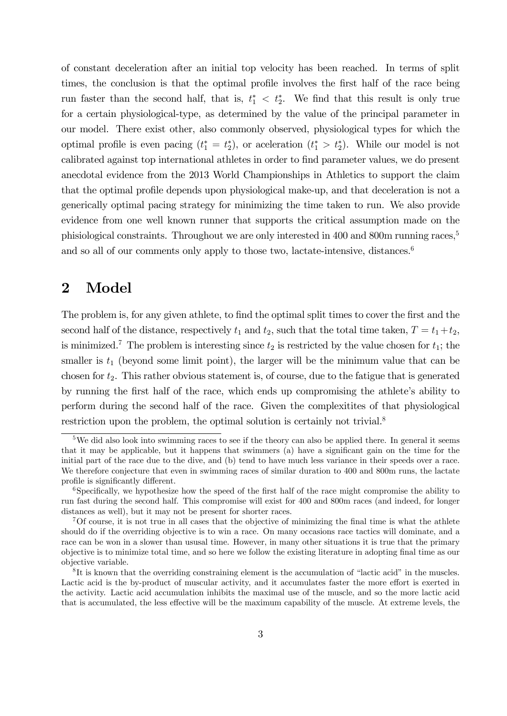of constant deceleration after an initial top velocity has been reached. In terms of split times, the conclusion is that the optimal profile involves the first half of the race being run faster than the second half, that is,  $t_1^* < t_2^*$ . We find that this result is only true for a certain physiological-type, as determined by the value of the principal parameter in our model. There exist other, also commonly observed, physiological types for which the optimal profile is even pacing  $(t_1^* = t_2^*)$ , or aceleration  $(t_1^* > t_2^*)$ . While our model is not calibrated against top international athletes in order to find parameter values, we do present anecdotal evidence from the 2013 World Championships in Athletics to support the claim that the optimal profile depends upon physiological make-up, and that deceleration is not a generically optimal pacing strategy for minimizing the time taken to run. We also provide evidence from one well known runner that supports the critical assumption made on the phisiological constraints. Throughout we are only interested in 400 and 800m running races,<sup>5</sup> and so all of our comments only apply to those two, lactate-intensive, distances.<sup>6</sup>

# 2 Model

The problem is, for any given athlete, to find the optimal split times to cover the first and the second half of the distance, respectively  $t_1$  and  $t_2$ , such that the total time taken,  $T = t_1 + t_2$ , is minimized.<sup>7</sup> The problem is interesting since  $t_2$  is restricted by the value chosen for  $t_1$ ; the smaller is  $t_1$  (beyond some limit point), the larger will be the minimum value that can be chosen for  $t_2$ . This rather obvious statement is, of course, due to the fatigue that is generated by running the first half of the race, which ends up compromising the athlete's ability to perform during the second half of the race. Given the complexitites of that physiological restriction upon the problem, the optimal solution is certainly not trivial.<sup>8</sup>

<sup>&</sup>lt;sup>5</sup>We did also look into swimming races to see if the theory can also be applied there. In general it seems that it may be applicable, but it happens that swimmers (a) have a significant gain on the time for the initial part of the race due to the dive, and (b) tend to have much less variance in their speeds over a race. We therefore conjecture that even in swimming races of similar duration to 400 and 800m runs, the lactate profile is significantly different.

<sup>&</sup>lt;sup>6</sup>Specifically, we hypothesize how the speed of the first half of the race might compromise the ability to run fast during the second half. This compromise will exist for 400 and 800m races (and indeed, for longer distances as well), but it may not be present for shorter races.

<sup>7</sup>Of course, it is not true in all cases that the objective of minimizing the final time is what the athlete should do if the overriding objective is to win a race. On many occasions race tactics will dominate, and a race can be won in a slower than ususal time. However, in many other situations it is true that the primary objective is to minimize total time, and so here we follow the existing literature in adopting final time as our objective variable.

<sup>8</sup> It is known that the overriding constraining element is the accumulation of "lactic acid" in the muscles. Lactic acid is the by-product of muscular activity, and it accumulates faster the more effort is exerted in the activity. Lactic acid accumulation inhibits the maximal use of the muscle, and so the more lactic acid that is accumulated, the less effective will be the maximum capability of the muscle. At extreme levels, the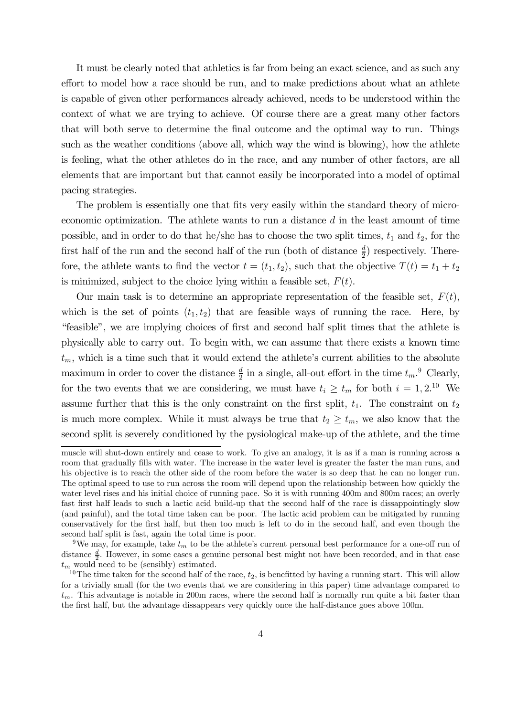It must be clearly noted that athletics is far from being an exact science, and as such any effort to model how a race should be run, and to make predictions about what an athlete is capable of given other performances already achieved, needs to be understood within the context of what we are trying to achieve. Of course there are a great many other factors that will both serve to determine the final outcome and the optimal way to run. Things such as the weather conditions (above all, which way the wind is blowing), how the athlete is feeling, what the other athletes do in the race, and any number of other factors, are all elements that are important but that cannot easily be incorporated into a model of optimal pacing strategies.

The problem is essentially one that fits very easily within the standard theory of microeconomic optimization. The athlete wants to run a distance  $d$  in the least amount of time possible, and in order to do that he/she has to choose the two split times,  $t_1$  and  $t_2$ , for the first half of the run and the second half of the run (both of distance  $\frac{d}{2}$ ) respectively. Therefore, the athlete wants to find the vector  $t = (t_1, t_2)$ , such that the objective  $T(t) = t_1 + t_2$ is minimized, subject to the choice lying within a feasible set,  $F(t)$ .

Our main task is to determine an appropriate representation of the feasible set,  $F(t)$ , which is the set of points  $(t_1, t_2)$  that are feasible ways of running the race. Here, by "feasible", we are implying choices of first and second half split times that the athlete is physically able to carry out. To begin with, we can assume that there exists a known time  $t_m$ , which is a time such that it would extend the athlete's current abilities to the absolute maximum in order to cover the distance  $\frac{d}{2}$  in a single, all-out effort in the time  $t_m$ .<sup>9</sup> Clearly, for the two events that we are considering, we must have  $t_i \geq t_m$  for both  $i = 1, 2.10$  We assume further that this is the only constraint on the first split,  $t_1$ . The constraint on  $t_2$ is much more complex. While it must always be true that  $t_2 \geq t_m$ , we also know that the second split is severely conditioned by the pysiological make-up of the athlete, and the time

muscle will shut-down entirely and cease to work. To give an analogy, it is as if a man is running across a room that gradually fills with water. The increase in the water level is greater the faster the man runs, and his objective is to reach the other side of the room before the water is so deep that he can no longer run. The optimal speed to use to run across the room will depend upon the relationship between how quickly the water level rises and his initial choice of running pace. So it is with running 400m and 800m races; an overly fast first half leads to such a lactic acid build-up that the second half of the race is dissappointingly slow (and painful), and the total time taken can be poor. The lactic acid problem can be mitigated by running conservatively for the first half, but then too much is left to do in the second half, and even though the second half split is fast, again the total time is poor.

<sup>&</sup>lt;sup>9</sup>We may, for example, take  $t_m$  to be the athlete's current personal best performance for a one-off run of distance  $\frac{d}{2}$ . However, in some cases a genuine personal best might not have been recorded, and in that case  $t_m$  would need to be (sensibly) estimated.

<sup>&</sup>lt;sup>10</sup>The time taken for the second half of the race,  $t_2$ , is benefitted by having a running start. This will allow for a trivially small (for the two events that we are considering in this paper) time advantage compared to  $t_m$ . This advantage is notable in 200m races, where the second half is normally run quite a bit faster than the first half, but the advantage dissappears very quickly once the half-distance goes above 100m.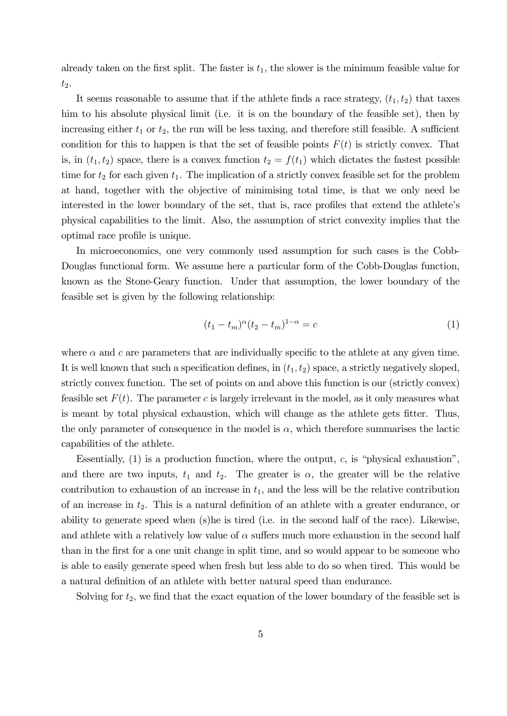already taken on the first split. The faster is  $t_1$ , the slower is the minimum feasible value for  $t_2$ .

It seems reasonable to assume that if the athlete finds a race strategy,  $(t_1, t_2)$  that taxes him to his absolute physical limit (i.e. it is on the boundary of the feasible set), then by increasing either  $t_1$  or  $t_2$ , the run will be less taxing, and therefore still feasible. A sufficient condition for this to happen is that the set of feasible points  $F(t)$  is strictly convex. That is, in  $(t_1, t_2)$  space, there is a convex function  $t_2 = f(t_1)$  which dictates the fastest possible time for  $t_2$  for each given  $t_1$ . The implication of a strictly convex feasible set for the problem at hand, together with the objective of minimising total time, is that we only need be interested in the lower boundary of the set, that is, race profiles that extend the athlete's physical capabilities to the limit. Also, the assumption of strict convexity implies that the optimal race profile is unique.

In microeconomics, one very commonly used assumption for such cases is the Cobb-Douglas functional form. We assume here a particular form of the Cobb-Douglas function, known as the Stone-Geary function. Under that assumption, the lower boundary of the feasible set is given by the following relationship:

$$
(t_1 - t_m)^{\alpha} (t_2 - t_m)^{1 - \alpha} = c \tag{1}
$$

where  $\alpha$  and c are parameters that are individually specific to the athlete at any given time. It is well known that such a specification defines, in  $(t_1, t_2)$  space, a strictly negatively sloped, strictly convex function. The set of points on and above this function is our (strictly convex) feasible set  $F(t)$ . The parameter c is largely irrelevant in the model, as it only measures what is meant by total physical exhaustion, which will change as the athlete gets fitter. Thus, the only parameter of consequence in the model is  $\alpha$ , which therefore summarises the lactic capabilities of the athlete.

Essentially,  $(1)$  is a production function, where the output, c, is "physical exhaustion", and there are two inputs,  $t_1$  and  $t_2$ . The greater is  $\alpha$ , the greater will be the relative contribution to exhaustion of an increase in  $t_1$ , and the less will be the relative contribution of an increase in  $t_2$ . This is a natural definition of an athlete with a greater endurance, or ability to generate speed when (s)he is tired (i.e. in the second half of the race). Likewise, and athlete with a relatively low value of  $\alpha$  suffers much more exhaustion in the second half than in the first for a one unit change in split time, and so would appear to be someone who is able to easily generate speed when fresh but less able to do so when tired. This would be a natural definition of an athlete with better natural speed than endurance.

Solving for  $t_2$ , we find that the exact equation of the lower boundary of the feasible set is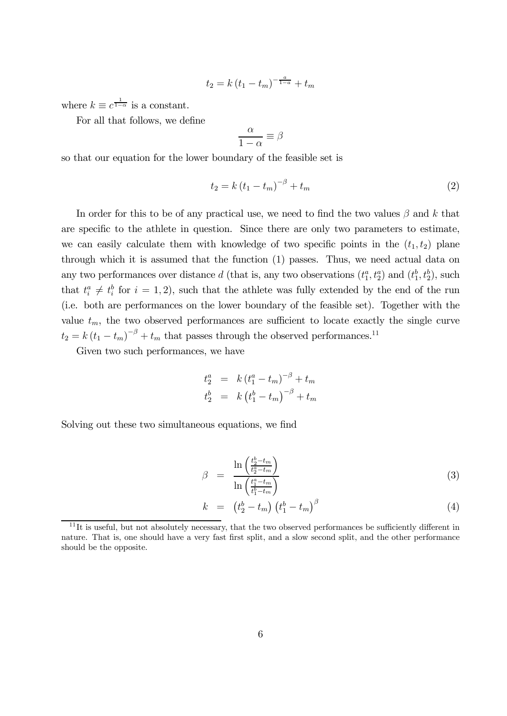$$
t_2 = k (t_1 - t_m)^{-\frac{a}{1-a}} + t_m
$$

where  $k \equiv c^{\frac{1}{1-\alpha}}$  is a constant.

For all that follows, we define

$$
\frac{\alpha}{1-\alpha} \equiv \beta
$$

so that our equation for the lower boundary of the feasible set is

$$
t_2 = k (t_1 - t_m)^{-\beta} + t_m
$$
 (2)

In order for this to be of any practical use, we need to find the two values  $\beta$  and k that are specific to the athlete in question. Since there are only two parameters to estimate, we can easily calculate them with knowledge of two specific points in the  $(t_1, t_2)$  plane through which it is assumed that the function (1) passes. Thus, we need actual data on any two performances over distance d (that is, any two observations  $(t_1^a, t_2^a)$  and  $(t_1^b, t_2^b)$ , such that  $t_i^a \neq t_i^b$  for  $i = 1, 2$ , such that the athlete was fully extended by the end of the run (i.e. both are performances on the lower boundary of the feasible set). Together with the value  $t_m$ , the two observed performances are sufficient to locate exactly the single curve  $t_2 = k(t_1 - t_m)^{-\beta} + t_m$  that passes through the observed performances.<sup>11</sup>

Given two such performances, we have

$$
t_2^a = k (t_1^a - t_m)^{-\beta} + t_m
$$
  

$$
t_2^b = k (t_1^b - t_m)^{-\beta} + t_m
$$

Solving out these two simultaneous equations, we find

$$
\beta = \frac{\ln\left(\frac{t_2^b - t_m}{t_2^a - t_m}\right)}{\ln\left(\frac{t_1^a - t_m}{t_1^b - t_m}\right)}\tag{3}
$$

$$
k = \left(t_2^b - t_m\right) \left(t_1^b - t_m\right)^\beta \tag{4}
$$

 $11$ It is useful, but not absolutely necessary, that the two observed performances be sufficiently different in nature. That is, one should have a very fast first split, and a slow second split, and the other performance should be the opposite.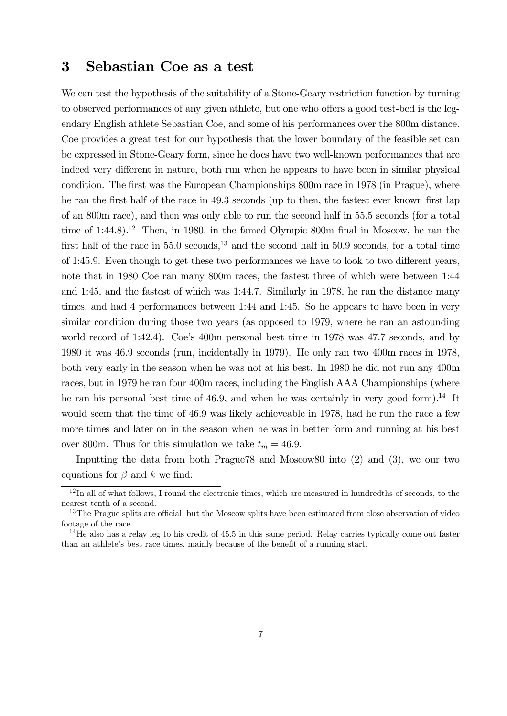## 3 Sebastian Coe as a test

We can test the hypothesis of the suitability of a Stone-Geary restriction function by turning to observed performances of any given athlete, but one who offers a good test-bed is the legendary English athlete Sebastian Coe, and some of his performances over the 800m distance. Coe provides a great test for our hypothesis that the lower boundary of the feasible set can be expressed in Stone-Geary form, since he does have two well-known performances that are indeed very different in nature, both run when he appears to have been in similar physical condition. The first was the European Championships 800m race in 1978 (in Prague), where he ran the first half of the race in 49.3 seconds (up to then, the fastest ever known first lap of an 800m race), and then was only able to run the second half in 55.5 seconds (for a total time of  $1:44.8$ .<sup>12</sup> Then, in 1980, in the famed Olympic 800m final in Moscow, he ran the first half of the race in  $55.0$  seconds,<sup>13</sup> and the second half in  $50.9$  seconds, for a total time of 1:45.9. Even though to get these two performances we have to look to two different years, note that in 1980 Coe ran many 800m races, the fastest three of which were between 1:44 and 1:45, and the fastest of which was 1:44.7. Similarly in 1978, he ran the distance many times, and had 4 performances between 1:44 and 1:45. So he appears to have been in very similar condition during those two years (as opposed to 1979, where he ran an astounding world record of 1:42.4). Coe's 400m personal best time in 1978 was 47.7 seconds, and by 1980 it was 46.9 seconds (run, incidentally in 1979). He only ran two 400m races in 1978, both very early in the season when he was not at his best. In 1980 he did not run any 400m races, but in 1979 he ran four 400m races, including the English AAA Championships (where he ran his personal best time of 46.9, and when he was certainly in very good form).<sup>14</sup> It would seem that the time of 46.9 was likely achieveable in 1978, had he run the race a few more times and later on in the season when he was in better form and running at his best over 800m. Thus for this simulation we take  $t_m = 46.9$ .

Inputting the data from both Prague78 and Moscow80 into (2) and (3), we our two equations for  $\beta$  and k we find:

 $12$ In all of what follows, I round the electronic times, which are measured in hundredths of seconds, to the nearest tenth of a second.

<sup>&</sup>lt;sup>13</sup>The Prague splits are official, but the Moscow splits have been estimated from close observation of video footage of the race.

<sup>&</sup>lt;sup>14</sup>He also has a relay leg to his credit of 45.5 in this same period. Relay carries typically come out faster than an athlete's best race times, mainly because of the benefit of a running start.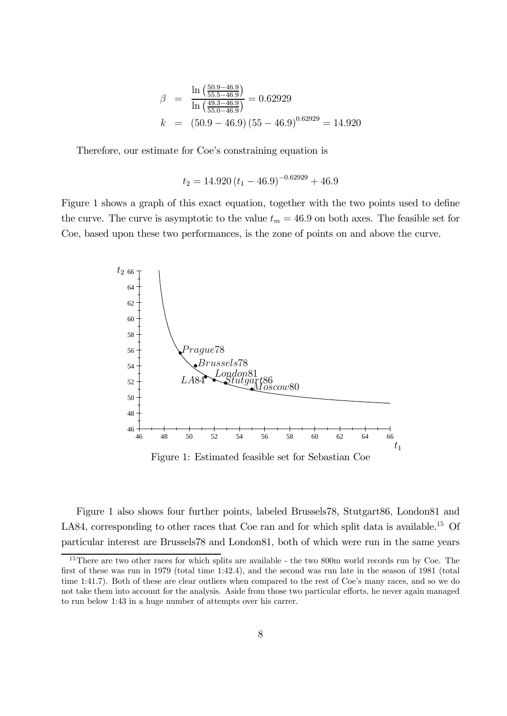$$
\beta = \frac{\ln\left(\frac{50.9 - 46.9}{55.5 - 46.9}\right)}{\ln\left(\frac{49.3 - 46.9}{55.0 - 46.9}\right)} = 0.62929
$$
\n
$$
k = (50.9 - 46.9)(55 - 46.9)^{0.62929} = 14.920
$$

Therefore, our estimate for Coe's constraining equation is

$$
t_2 = 14.920 (t_1 - 46.9)^{-0.62929} + 46.9
$$

Figure 1 shows a graph of this exact equation, together with the two points used to define the curve. The curve is asymptotic to the value  $t_m = 46.9$  on both axes. The feasible set for Coe, based upon these two performances, is the zone of points on and above the curve.



Figure 1: Estimated feasible set for Sebastian Coe

Figure 1 also shows four further points, labeled Brussels78, Stutgart86, London81 and LA84, corresponding to other races that Coe ran and for which split data is available.<sup>15</sup> Of particular interest are Brussels78 and London81, both of which were run in the same years

<sup>&</sup>lt;sup>15</sup>There are two other races for which splits are available - the two 800m world records run by Coe. The first of these was run in 1979 (total time 1:42.4), and the second was run late in the season of 1981 (total time 1:41.7). Both of these are clear outliers when compared to the rest of Coe's many races, and so we do not take them into account for the analysis. Aside from those two particular efforts, he never again managed to run below 1:43 in a huge number of attempts over his carrer.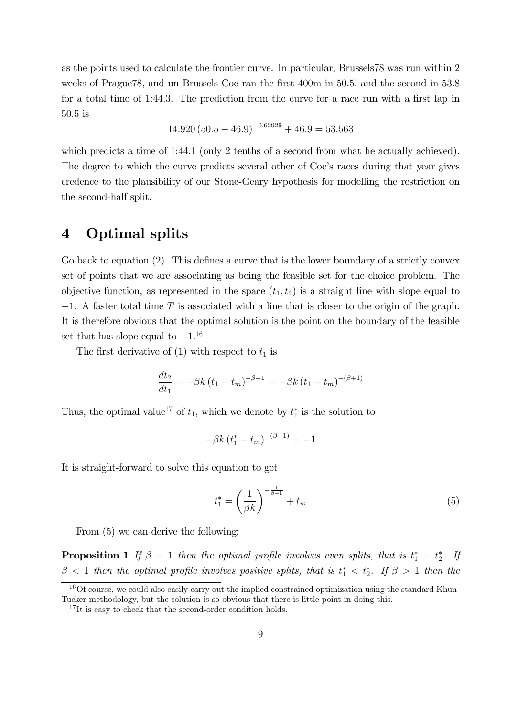as the points used to calculate the frontier curve. In particular, Brussels78 was run within 2 weeks of Prague78, and un Brussels Coe ran the first 400m in 50.5, and the second in 53.8 for a total time of 1:44.3. The prediction from the curve for a race run with a first lap in 50.5 is

$$
14.920 (50.5 - 46.9)^{-0.62929} + 46.9 = 53.563
$$

which predicts a time of 1:44.1 (only 2 tenths of a second from what he actually achieved). The degree to which the curve predicts several other of Coe's races during that year gives credence to the plausibility of our Stone-Geary hypothesis for modelling the restriction on the second-half split.

#### 4 Optimal splits

Go back to equation (2). This defines a curve that is the lower boundary of a strictly convex set of points that we are associating as being the feasible set for the choice problem. The objective function, as represented in the space  $(t_1, t_2)$  is a straight line with slope equal to  $-1$ . A faster total time T is associated with a line that is closer to the origin of the graph. It is therefore obvious that the optimal solution is the point on the boundary of the feasible set that has slope equal to  $-1$ <sup>16</sup>

The first derivative of  $(1)$  with respect to  $t_1$  is

$$
\frac{dt_2}{dt_1} = -\beta k (t_1 - t_m)^{-\beta - 1} = -\beta k (t_1 - t_m)^{-(\beta + 1)}
$$

Thus, the optimal value<sup>17</sup> of  $t_1$ , which we denote by  $t_1^*$  is the solution to

$$
-\beta k (t_1^* - t_m)^{-(\beta + 1)} = -1
$$

It is straight-forward to solve this equation to get

$$
t_1^* = \left(\frac{1}{\beta k}\right)^{-\frac{1}{\beta+1}} + t_m \tag{5}
$$

From (5) we can derive the following:

**Proposition 1** If  $\beta = 1$  then the optimal profile involves even splits, that is  $t_1^* = t_2^*$ . If  $\beta$  < 1 then the optimal profile involves positive splits, that is  $t_1^*$  <  $t_2^*$ . If  $\beta > 1$  then the

 $16$ Of course, we could also easily carry out the implied constrained optimization using the standard Khun-Tucker methodology, but the solution is so obvious that there is little point in doing this.

 $17$ It is easy to check that the second-order condition holds.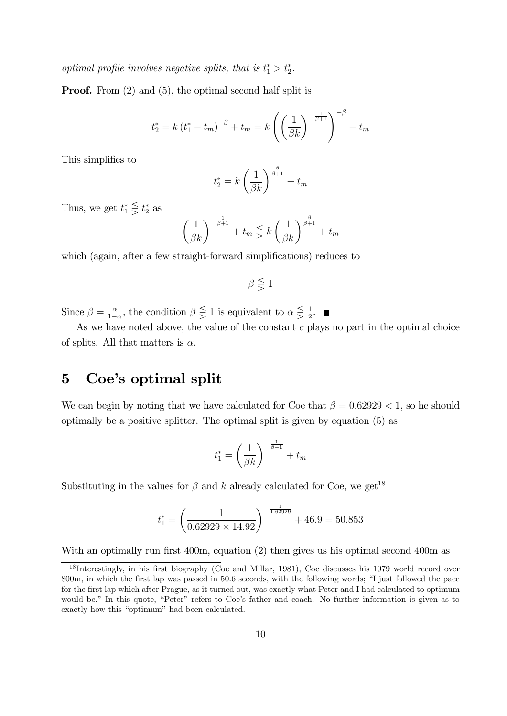optimal profile involves negative splits, that is  $t_1^* > t_2^*$ .

Proof. From (2) and (5), the optimal second half split is

$$
t_{2}^{*} = k (t_{1}^{*} - t_{m})^{-\beta} + t_{m} = k \left( \left( \frac{1}{\beta k} \right)^{-\frac{1}{\beta + 1}} \right)^{-\beta} + t_{m}
$$

This simplifies to

$$
t_2^* = k \left(\frac{1}{\beta k}\right)^{\frac{\beta}{\beta+1}} + t_m
$$

Thus, we get  $t_1^* \leq t_2^*$  as

$$
\left(\frac{1}{\beta k}\right)^{-\frac{1}{\beta+1}} + t_m \lesseqgtr k \left(\frac{1}{\beta k}\right)^{\frac{\beta}{\beta+1}} + t_m
$$

which (again, after a few straight-forward simplifications) reduces to

$$
\beta \lesseqgtr 1
$$

Since  $\beta = \frac{\alpha}{1-\alpha}$ , the condition  $\beta \leq 1$  is equivalent to  $\alpha \leq \frac{1}{2}$ .

As we have noted above, the value of the constant  $c$  plays no part in the optimal choice of splits. All that matters is  $\alpha$ .

## 5 Coe's optimal split

We can begin by noting that we have calculated for Coe that  $\beta = 0.62929 < 1$ , so he should optimally be a positive splitter. The optimal split is given by equation (5) as

$$
t_1^* = \left(\frac{1}{\beta k}\right)^{-\frac{1}{\beta+1}} + t_m
$$

Substituting in the values for  $\beta$  and  $k$  already calculated for Coe, we get<sup>18</sup>

$$
t_1^* = \left(\frac{1}{0.62929 \times 14.92}\right)^{-\frac{1}{1.62929}} + 46.9 = 50.853
$$

With an optimally run first 400m, equation (2) then gives us his optimal second 400m as

<sup>18</sup> Interestingly, in his first biography (Coe and Millar, 1981), Coe discusses his 1979 world record over 800m, in which the first lap was passed in 50.6 seconds, with the following words; "I just followed the pace for the first lap which after Prague, as it turned out, was exactly what Peter and I had calculated to optimum would be." In this quote, "Peter" refers to Coe's father and coach. No further information is given as to exactly how this "optimum" had been calculated.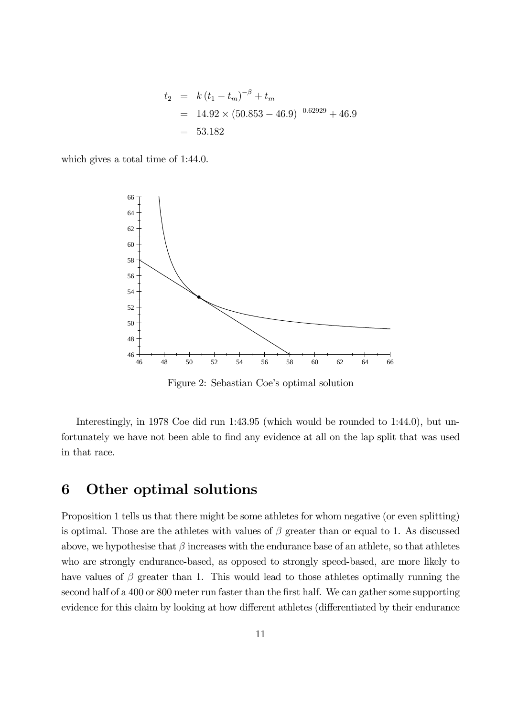$$
t_2 = k(t_1 - t_m)^{-\beta} + t_m
$$
  
= 14.92 \times (50.853 - 46.9)^{-0.62929} + 46.9  
= 53.182

which gives a total time of 1:44.0.



Figure 2: Sebastian Coe's optimal solution

Interestingly, in 1978 Coe did run 1:43.95 (which would be rounded to 1:44.0), but unfortunately we have not been able to find any evidence at all on the lap split that was used in that race.

## 6 Other optimal solutions

Proposition 1 tells us that there might be some athletes for whom negative (or even splitting) is optimal. Those are the athletes with values of  $\beta$  greater than or equal to 1. As discussed above, we hypothesise that  $\beta$  increases with the endurance base of an athlete, so that athletes who are strongly endurance-based, as opposed to strongly speed-based, are more likely to have values of  $\beta$  greater than 1. This would lead to those athletes optimally running the second half of a 400 or 800 meter run faster than the first half. We can gather some supporting evidence for this claim by looking at how different athletes (differentiated by their endurance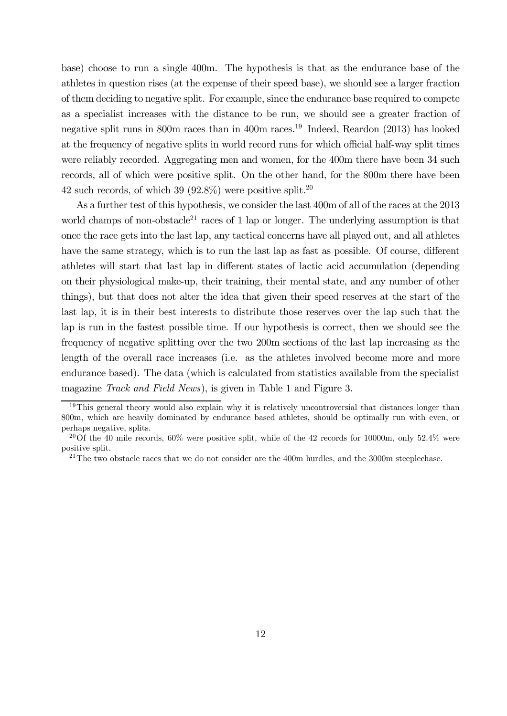base) choose to run a single 400m. The hypothesis is that as the endurance base of the athletes in question rises (at the expense of their speed base), we should see a larger fraction of them deciding to negative split. For example, since the endurance base required to compete as a specialist increases with the distance to be run, we should see a greater fraction of negative split runs in 800m races than in 400m races.19 Indeed, Reardon (2013) has looked at the frequency of negative splits in world record runs for which official half-way split times were reliably recorded. Aggregating men and women, for the 400m there have been 34 such records, all of which were positive split. On the other hand, for the 800m there have been 42 such records, of which 39 (92.8%) were positive split.<sup>20</sup>

As a further test of this hypothesis, we consider the last 400m of all of the races at the 2013 world champs of non-obstacle<sup>21</sup> races of 1 lap or longer. The underlying assumption is that once the race gets into the last lap, any tactical concerns have all played out, and all athletes have the same strategy, which is to run the last lap as fast as possible. Of course, different athletes will start that last lap in different states of lactic acid accumulation (depending on their physiological make-up, their training, their mental state, and any number of other things), but that does not alter the idea that given their speed reserves at the start of the last lap, it is in their best interests to distribute those reserves over the lap such that the lap is run in the fastest possible time. If our hypothesis is correct, then we should see the frequency of negative splitting over the two 200m sections of the last lap increasing as the length of the overall race increases (i.e. as the athletes involved become more and more endurance based). The data (which is calculated from statistics available from the specialist magazine Track and Field News), is given in Table 1 and Figure 3.

 $19$ This general theory would also explain why it is relatively uncontroversial that distances longer than 800m, which are heavily dominated by endurance based athletes, should be optimally run with even, or perhaps negative, splits.

<sup>&</sup>lt;sup>20</sup>Of the 40 mile records,  $60\%$  were positive split, while of the 42 records for 10000m, only 52.4% were positive split.

 $21$ The two obstacle races that we do not consider are the 400m hurdles, and the 3000m steeplechase.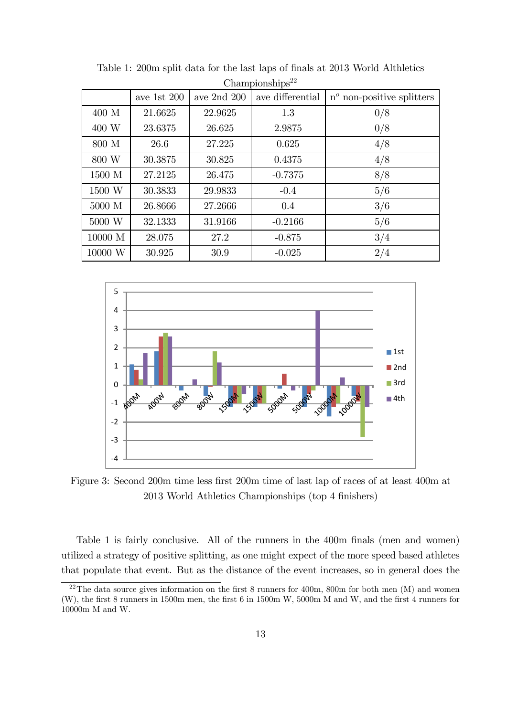| <b>Unampionsmps</b> |               |                 |                  |                                    |
|---------------------|---------------|-----------------|------------------|------------------------------------|
|                     | ave 1st $200$ | ave $2nd$ $200$ | ave differential | $n^{\circ}$ non-positive splitters |
| $400$ M             | 21.6625       | 22.9625         | 1.3              | 0/8                                |
| 400 W               | 23.6375       | 26.625          | 2.9875           | 0/8                                |
| 800 M               | 26.6          | 27.225          | 0.625            | 4/8                                |
| 800 W               | 30.3875       | 30.825          | 0.4375           | 4/8                                |
| 1500 M              | 27.2125       | 26.475          | $-0.7375$        | 8/8                                |
| 1500 W              | 30.3833       | 29.9833         | $-0.4$           | 5/6                                |
| 5000 M              | 26.8666       | 27.2666         | 0.4              | 3/6                                |
| 5000 W              | 32.1333       | 31.9166         | $-0.2166$        | 5/6                                |
| 10000 M             | 28.075        | 27.2            | $-0.875$         | 3/4                                |
| 10000 W             | 30.925        | 30.9            | $-0.025$         | 2/4                                |

Table 1: 200m split data for the last laps of finals at 2013 World Althletics  $Chomnion, <sup>22</sup>$ 



Figure 3: Second 200m time less first 200m time of last lap of races of at least 400m at 2013 World Athletics Championships (top 4 finishers)

Table 1 is fairly conclusive. All of the runners in the 400m finals (men and women) utilized a strategy of positive splitting, as one might expect of the more speed based athletes that populate that event. But as the distance of the event increases, so in general does the

 $^{22}$ The data source gives information on the first 8 runners for 400m, 800m for both men (M) and women (W), the first 8 runners in 1500m men, the first 6 in 1500m W, 5000m M and W, and the first 4 runners for 10000m M and W.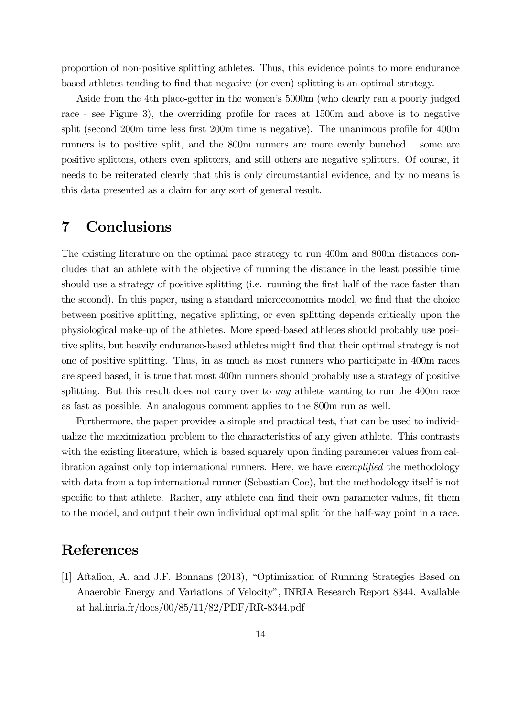proportion of non-positive splitting athletes. Thus, this evidence points to more endurance based athletes tending to find that negative (or even) splitting is an optimal strategy.

Aside from the 4th place-getter in the women's 5000m (who clearly ran a poorly judged race - see Figure 3), the overriding profile for races at 1500m and above is to negative split (second 200m time less first 200m time is negative). The unanimous profile for 400m runners is to positive split, and the 800m runners are more evenly bunched — some are positive splitters, others even splitters, and still others are negative splitters. Of course, it needs to be reiterated clearly that this is only circumstantial evidence, and by no means is this data presented as a claim for any sort of general result.

#### 7 Conclusions

The existing literature on the optimal pace strategy to run 400m and 800m distances concludes that an athlete with the objective of running the distance in the least possible time should use a strategy of positive splitting (i.e. running the first half of the race faster than the second). In this paper, using a standard microeconomics model, we find that the choice between positive splitting, negative splitting, or even splitting depends critically upon the physiological make-up of the athletes. More speed-based athletes should probably use positive splits, but heavily endurance-based athletes might find that their optimal strategy is not one of positive splitting. Thus, in as much as most runners who participate in 400m races are speed based, it is true that most 400m runners should probably use a strategy of positive splitting. But this result does not carry over to *any* athlete wanting to run the 400m race as fast as possible. An analogous comment applies to the 800m run as well.

Furthermore, the paper provides a simple and practical test, that can be used to individualize the maximization problem to the characteristics of any given athlete. This contrasts with the existing literature, which is based squarely upon finding parameter values from calibration against only top international runners. Here, we have *exemplified* the methodology with data from a top international runner (Sebastian Coe), but the methodology itself is not specific to that athlete. Rather, any athlete can find their own parameter values, fit them to the model, and output their own individual optimal split for the half-way point in a race.

## References

[1] Aftalion, A. and J.F. Bonnans (2013), "Optimization of Running Strategies Based on Anaerobic Energy and Variations of Velocity", INRIA Research Report 8344. Available at hal.inria.fr/docs/00/85/11/82/PDF/RR-8344.pdf